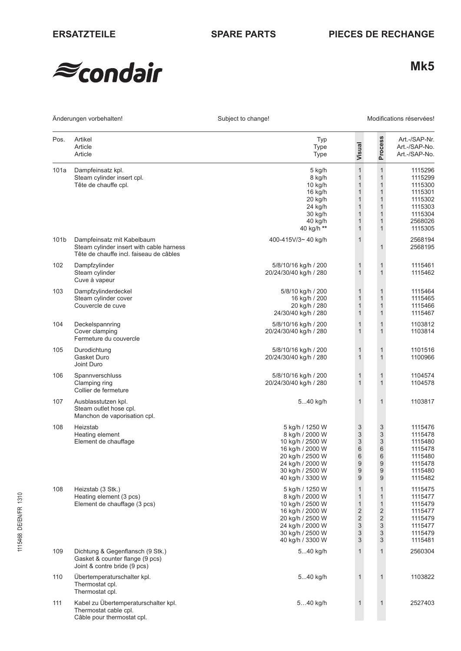

**Mk5**

| Änderungen vorbehalten! |                                                                                                                   | Subject to change!                                                                                                                                         |                                                                                                                                              | Modifications réservées!                                                                                                                     |                                                                                                 |  |
|-------------------------|-------------------------------------------------------------------------------------------------------------------|------------------------------------------------------------------------------------------------------------------------------------------------------------|----------------------------------------------------------------------------------------------------------------------------------------------|----------------------------------------------------------------------------------------------------------------------------------------------|-------------------------------------------------------------------------------------------------|--|
| Pos.                    | Artikel<br>Article<br>Article                                                                                     | Typ<br><b>Type</b><br>Type                                                                                                                                 | Visual                                                                                                                                       | <b>Process</b>                                                                                                                               | Art.-/SAP-Nr.<br>Art.-/SAP-No.<br>Art.-/SAP-No.                                                 |  |
| 101a                    | Dampfeinsatz kpl.<br>Steam cylinder insert cpl.<br>Tête de chauffe cpl.                                           | 5 kg/h<br>8 kg/h<br>10 kg/h<br>16 kg/h<br>20 kg/h<br>24 kg/h<br>30 kg/h<br>40 kg/h<br>40 kg/h **                                                           | $\mathbf{1}$<br>$\mathbf{1}$<br>$\mathbf{1}$<br>$\mathbf{1}$<br>$\mathbf{1}$<br>$\mathbf{1}$<br>$\mathbf{1}$<br>$\mathbf{1}$<br>$\mathbf{1}$ | $\mathbf{1}$<br>$\mathbf{1}$<br>$\mathbf{1}$<br>$\mathbf{1}$<br>$\mathbf{1}$<br>$\mathbf{1}$<br>$\mathbf{1}$<br>$\mathbf{1}$<br>$\mathbf{1}$ | 1115296<br>1115299<br>1115300<br>1115301<br>1115302<br>1115303<br>1115304<br>2568026<br>1115305 |  |
| 101b                    | Dampfeinsatz mit Kabelbaum<br>Steam cylinder insert with cable harness<br>Tête de chauffe incl. faiseau de câbles | 400-415V/3~40 kg/h                                                                                                                                         | $\mathbf{1}$                                                                                                                                 | $\mathbf{1}$                                                                                                                                 | 2568194<br>2568195                                                                              |  |
| 102                     | Dampfzylinder<br>Steam cylinder<br>Cuve à vapeur                                                                  | 5/8/10/16 kg/h / 200<br>20/24/30/40 kg/h / 280                                                                                                             | 1<br>1                                                                                                                                       | $\mathbf{1}$<br>$\mathbf{1}$                                                                                                                 | 1115461<br>1115462                                                                              |  |
| 103                     | Dampfzylinderdeckel<br>Steam cylinder cover<br>Couvercle de cuve                                                  | 5/8/10 kg/h / 200<br>16 kg/h / 200<br>20 kg/h / 280<br>24/30/40 kg/h / 280                                                                                 | 1<br>$\mathbf{1}$<br>$\mathbf{1}$<br>$\mathbf{1}$                                                                                            | $\mathbf{1}$<br>$\mathbf{1}$<br>$\mathbf{1}$<br>$\mathbf{1}$                                                                                 | 1115464<br>1115465<br>1115466<br>1115467                                                        |  |
| 104                     | Deckelspannring<br>Cover clamping<br>Fermeture du couvercle                                                       | 5/8/10/16 kg/h / 200<br>20/24/30/40 kg/h / 280                                                                                                             | $\mathbf{1}$<br>$\mathbf{1}$                                                                                                                 | $\mathbf{1}$<br>$\mathbf{1}$                                                                                                                 | 1103812<br>1103814                                                                              |  |
| 105                     | Durodichtung<br>Gasket Duro<br>Joint Duro                                                                         | 5/8/10/16 kg/h / 200<br>20/24/30/40 kg/h / 280                                                                                                             | 1<br>$\mathbf{1}$                                                                                                                            | $\mathbf{1}$<br>$\mathbf{1}$                                                                                                                 | 1101516<br>1100966                                                                              |  |
| 106                     | Spannverschluss<br>Clamping ring<br>Collier de fermeture                                                          | 5/8/10/16 kg/h / 200<br>20/24/30/40 kg/h / 280                                                                                                             | 1<br>$\mathbf{1}$                                                                                                                            | $\mathbf{1}$<br>$\mathbf{1}$                                                                                                                 | 1104574<br>1104578                                                                              |  |
| 107                     | Ausblasstutzen kpl.<br>Steam outlet hose cpl.<br>Manchon de vaporisation cpl.                                     | 540 kg/h                                                                                                                                                   | 1                                                                                                                                            | $\mathbf{1}$                                                                                                                                 | 1103817                                                                                         |  |
| 108                     | Heizstab<br>Heating element<br>Element de chauffage                                                               | 5 kg/h / 1250 W<br>8 kg/h / 2000 W<br>10 kg/h / 2500 W<br>16 kg/h / 2000 W<br>20 kg/h / 2500 W<br>24 kg/h / 2000 W<br>30 kg/h / 2500 W<br>40 kg/h / 3300 W | 3<br>3<br>3<br>6<br>6<br>9<br>$\boldsymbol{9}$<br>$\boldsymbol{9}$                                                                           | 3<br>3<br>3<br>$6\phantom{1}6$<br>$6\phantom{1}6$<br>9<br>9<br>$9$                                                                           | 1115476<br>1115478<br>1115480<br>1115478<br>1115480<br>1115478<br>1115480<br>1115482            |  |
| 108                     | Heizstab (3 Stk.)<br>Heating element (3 pcs)<br>Element de chauffage (3 pcs)                                      | 5 kg/h / 1250 W<br>8 kg/h / 2000 W<br>10 kg/h / 2500 W<br>16 kg/h / 2000 W<br>20 kg/h / 2500 W<br>24 kg/h / 2000 W<br>30 kg/h / 2500 W<br>40 kg/h / 3300 W | $\mathbf{1}$<br>$\mathbf{1}$<br>$\mathbf{1}$<br>$\overline{\mathbf{c}}$<br>$\sqrt{2}$<br>3<br>3<br>3                                         | $\mathbf{1}$<br>$\mathbf{1}$<br>$\mathbf{1}$<br>$\sqrt{2}$<br>$\sqrt{2}$<br>$\sqrt{3}$<br>$\sqrt{3}$<br>3                                    | 1115475<br>1115477<br>1115479<br>1115477<br>1115479<br>1115477<br>1115479<br>1115481            |  |
| 109                     | Dichtung & Gegenflansch (9 Stk.)<br>Gasket & counter flange (9 pcs)<br>Joint & contre bride (9 pcs)               | 540 kg/h                                                                                                                                                   | $\mathbf{1}$                                                                                                                                 | $\mathbf{1}$                                                                                                                                 | 2560304                                                                                         |  |
| 110                     | Übertemperaturschalter kpl.<br>Thermostat cpl.<br>Thermostat cpl.                                                 | 540 kg/h                                                                                                                                                   | 1                                                                                                                                            | 1                                                                                                                                            | 1103822                                                                                         |  |
| 111                     | Kabel zu Übertemperaturschalter kpl.<br>Thermostat cable cpl.<br>Câble pour thermostat cpl.                       | 540 kg/h                                                                                                                                                   | 1                                                                                                                                            | $\mathbf{1}$                                                                                                                                 | 2527403                                                                                         |  |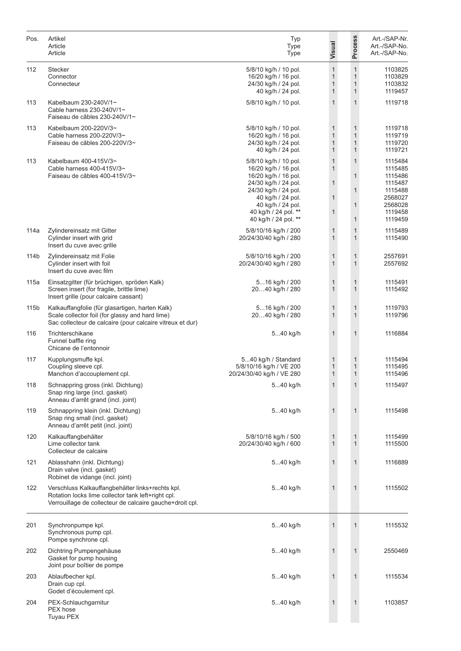| Pos. | Artikel<br>Article<br>Article                                                                                                                                      | Typ<br><b>Type</b><br><b>Type</b>                                                                                                                                                                               | Visual                                 | Process                                                           | Art.-/SAP-Nr.<br>Art.-/SAP-No.<br>Art.-/SAP-No.                                                 |
|------|--------------------------------------------------------------------------------------------------------------------------------------------------------------------|-----------------------------------------------------------------------------------------------------------------------------------------------------------------------------------------------------------------|----------------------------------------|-------------------------------------------------------------------|-------------------------------------------------------------------------------------------------|
| 112  | <b>Stecker</b><br>Connector<br>Connecteur                                                                                                                          | 5/8/10 kg/h / 10 pol.<br>16/20 kg/h / 16 pol.<br>24/30 kg/h / 24 pol.<br>40 kg/h / 24 pol.                                                                                                                      | $\mathbf{1}$<br>1<br>$\mathbf{1}$<br>1 | $\mathbf{1}$<br>$\mathbf{1}$<br>$\mathbf{1}$<br>$\mathbf{1}$      | 1103825<br>1103829<br>1103832<br>1119457                                                        |
| 113  | Kabelbaum 230-240V/1~<br>Cable harness 230-240V/1~<br>Faiseau de câbles 230-240V/1~                                                                                | 5/8/10 kg/h / 10 pol.                                                                                                                                                                                           | 1                                      | $\mathbf{1}$                                                      | 1119718                                                                                         |
| 113  | Kabelbaum 200-220V/3~<br>Cable harness 200-220V/3~<br>Faiseau de câbles 200-220V/3~                                                                                | 5/8/10 kg/h / 10 pol.<br>16/20 kg/h / 16 pol.<br>24/30 kg/h / 24 pol.<br>40 kg/h / 24 pol.                                                                                                                      | 1<br>$\mathbf{1}$<br>1<br>1            | $\mathbf{1}$<br>$\mathbf{1}$<br>$\mathbf{1}$<br>$\mathbf{1}$      | 1119718<br>1119719<br>1119720<br>1119721                                                        |
| 113  | Kabelbaum 400-415 $V/3$ ~<br>Cable harness 400-415V/3~<br>Faiseau de câbles 400-415V/3~                                                                            | 5/8/10 kg/h / 10 pol.<br>16/20 kg/h / 16 pol.<br>16/20 kg/h / 16 pol.<br>24/30 kg/h / 24 pol.<br>24/30 kg/h / 24 pol.<br>40 kg/h / 24 pol.<br>40 kg/h / 24 pol.<br>40 kg/h / 24 pol. **<br>40 kg/h / 24 pol. ** | 1<br>1<br>1<br>$\mathbf{1}$<br>1       | $\mathbf{1}$<br>$\mathbf{1}$<br>$\mathbf{1}$<br>$\mathbf{1}$<br>1 | 1115484<br>1115485<br>1115486<br>1115487<br>1115488<br>2568027<br>2568028<br>1119458<br>1119459 |
| 114a | Zylindereinsatz mit Gitter<br>Cylinder insert with grid<br>Insert du cuve avec grille                                                                              | 5/8/10/16 kg/h / 200<br>20/24/30/40 kg/h / 280                                                                                                                                                                  | 1<br>$\mathbf{1}$                      | 1<br>$\mathbf{1}$                                                 | 1115489<br>1115490                                                                              |
| 114b | Zylindereinsatz mit Folie<br>Cylinder insert with foil<br>Insert du cuve avec film                                                                                 | 5/8/10/16 kg/h / 200<br>20/24/30/40 kg/h / 280                                                                                                                                                                  | 1<br>$\mathbf{1}$                      | 1<br>1                                                            | 2557691<br>2557692                                                                              |
| 115a | Einsatzgitter (für brüchigen, spröden Kalk)<br>Screen insert (for fragile, brittle lime)<br>Insert grille (pour calcaire cassant)                                  | 516 kg/h / 200<br>2040 kg/h / 280                                                                                                                                                                               | 1<br>$\mathbf{1}$                      | 1<br>$\mathbf{1}$                                                 | 1115491<br>1115492                                                                              |
| 115b | Kalkauffangfolie (für glasartigen, harten Kalk)<br>Scale collector foil (for glassy and hard lime)<br>Sac collecteur de calcaire (pour calcaire vitreux et dur)    | 516 kg/h / 200<br>2040 kg/h / 280                                                                                                                                                                               | 1<br>1                                 | $\mathbf{1}$<br>$\mathbf{1}$                                      | 1119793<br>1119796                                                                              |
| 116  | Trichterschikane<br>Funnel baffle ring<br>Chicane de l'entonnoir                                                                                                   | 540 kg/h                                                                                                                                                                                                        | 1                                      | $\mathbf{1}$                                                      | 1116884                                                                                         |
| 117  | Kupplungsmuffe kpl.<br>Coupling sleeve cpl.<br>Manchon d'accouplement cpl.                                                                                         | 540 kg/h / Standard<br>5/8/10/16 kg/h / VE 200<br>20/24/30/40 kg/h / VE 280                                                                                                                                     | 1<br>1<br>$\mathbf{1}$                 | 1<br>$\mathbf{1}$<br>$\mathbf{1}$                                 | 1115494<br>1115495<br>1115496                                                                   |
| 118  | Schnappring gross (inkl. Dichtung)<br>Snap ring large (incl. gasket)<br>Anneau d'arrêt grand (incl. joint)                                                         | 540 kg/h                                                                                                                                                                                                        | 1                                      | $\mathbf{1}$                                                      | 1115497                                                                                         |
| 119  | Schnappring klein (inkl. Dichtung)<br>Snap ring small (incl. gasket)<br>Anneau d'arrêt petit (incl. joint)                                                         | 540 kg/h                                                                                                                                                                                                        | 1                                      | 1                                                                 | 1115498                                                                                         |
| 120  | Kalkauffangbehälter<br>Lime collector tank<br>Collecteur de calcaire                                                                                               | 5/8/10/16 kg/h / 500<br>20/24/30/40 kg/h / 600                                                                                                                                                                  | 1<br>$\mathbf{1}$                      | 1<br>1                                                            | 1115499<br>1115500                                                                              |
| 121  | Ablasshahn (inkl. Dichtung)<br>Drain valve (incl. gasket)<br>Robinet de vidange (incl. joint)                                                                      | 540 kg/h                                                                                                                                                                                                        | 1                                      | 1                                                                 | 1116889                                                                                         |
| 122  | Verschluss Kalkauffangbehälter links+rechts kpl.<br>Rotation locks lime collector tank left+right cpl.<br>Verrouillage de collecteur de calcaire gauche+droit cpl. | 540 kg/h                                                                                                                                                                                                        | 1                                      | $\mathbf{1}$                                                      | 1115502                                                                                         |
| 201  | Synchronpumpe kpl.<br>Synchronous pump cpl.<br>Pompe synchrone cpl.                                                                                                | 540 kg/h                                                                                                                                                                                                        | 1                                      | $\mathbf{1}$                                                      | 1115532                                                                                         |
| 202  | Dichtring Pumpengehäuse<br>Gasket for pump housing<br>Joint pour boîtier de pompe                                                                                  | 540 kg/h                                                                                                                                                                                                        | 1                                      | 1                                                                 | 2550469                                                                                         |
| 203  | Ablaufbecher kpl.<br>Drain cup cpl.<br>Godet d'écoulement cpl.                                                                                                     | 540 kg/h                                                                                                                                                                                                        | 1                                      | 1                                                                 | 1115534                                                                                         |
| 204  | PEX-Schlauchgarnitur<br>PEX hose<br>Tuyau PEX                                                                                                                      | 540 kg/h                                                                                                                                                                                                        | 1                                      | $\mathbf{1}$                                                      | 1103857                                                                                         |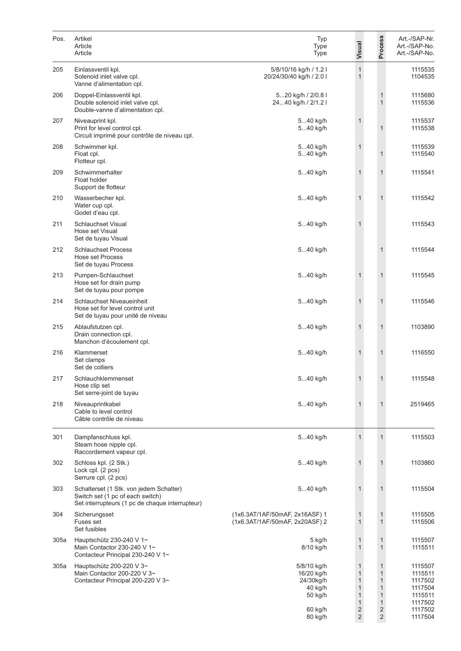| Artikel<br>Article<br>Article                                                                                                  | Typ<br>Type<br>Type                                                     | Visual                                                                                              | Process                                                                                                        | Art.-/SAP-Nr.<br>Art.-/SAP-No.<br>Art.-/SAP-No.                                      |
|--------------------------------------------------------------------------------------------------------------------------------|-------------------------------------------------------------------------|-----------------------------------------------------------------------------------------------------|----------------------------------------------------------------------------------------------------------------|--------------------------------------------------------------------------------------|
| Einlassventil kpl.<br>Solenoid inlet valve cpl.<br>Vanne d'alimentation cpl.                                                   | 5/8/10/16 kg/h / 1.2 l<br>20/24/30/40 kg/h / 2.0 l                      | $\mathbf{1}$<br>$\mathbf{1}$                                                                        |                                                                                                                | 1115535<br>1104535                                                                   |
| Doppel-Einlassventil kpl.<br>Double solenoid inlet valve cpl.<br>Double-vanne d'alimentation cpl.                              | 520 kg/h / 2/0.8 l<br>2440 kg/h / 2/1.2 l                               |                                                                                                     | 1<br>$\mathbf{1}$                                                                                              | 1115680<br>1115536                                                                   |
| Niveauprint kpl.<br>Print for level control cpl.<br>Circuit imprimé pour contrôle de niveau cpl.                               | 540 kg/h<br>540 kg/h                                                    | 1                                                                                                   | 1                                                                                                              | 1115537<br>1115538                                                                   |
| Schwimmer kpl.<br>Float cpl.<br>Flotteur cpl.                                                                                  | 540 kg/h<br>540 kg/h                                                    | 1                                                                                                   | 1                                                                                                              | 1115539<br>1115540                                                                   |
| Schwimmerhalter<br>Float holder<br>Support de flotteur                                                                         | 540 kg/h                                                                | 1                                                                                                   | $\mathbf{1}$                                                                                                   | 1115541                                                                              |
| Wasserbecher kpl.<br>Water cup cpl.<br>Godet d'eau cpl.                                                                        | 540 kg/h                                                                | 1                                                                                                   | 1                                                                                                              | 1115542                                                                              |
| <b>Schlauchset Visual</b><br>Hose set Visual<br>Set de tuyau Visual                                                            | 540 kg/h                                                                | 1                                                                                                   |                                                                                                                | 1115543                                                                              |
| <b>Schlauchset Process</b><br>Hose set Process<br>Set de tuyau Process                                                         | 540 kg/h                                                                |                                                                                                     | $\mathbf{1}$                                                                                                   | 1115544                                                                              |
| Pumpen-Schlauchset<br>Hose set for drain pump<br>Set de tuyau pour pompe                                                       | 540 kg/h                                                                | 1                                                                                                   | $\mathbf{1}$                                                                                                   | 1115545                                                                              |
| Schlauchset Niveaueinheit<br>Hose set for level control unit<br>Set de tuyau pour unité de niveau                              | 540 kg/h                                                                | 1                                                                                                   | $\mathbf{1}$                                                                                                   | 1115546                                                                              |
| Ablaufstutzen cpl.<br>Drain connection cpl.<br>Manchon d'écoulement cpl.                                                       | 540 kg/h                                                                | 1                                                                                                   | $\mathbf{1}$                                                                                                   | 1103890                                                                              |
| Klammerset<br>Set clamps<br>Set de colliers                                                                                    | 540 kg/h                                                                | 1                                                                                                   | 1                                                                                                              | 1116550                                                                              |
| Schlauchklemmenset<br>Hose clip set<br>Set serre-joint de tuyau                                                                | 540 kg/h                                                                | Ί                                                                                                   |                                                                                                                | 1115548                                                                              |
| Niveauprintkabel<br>Cable to level control<br>Câble contrôle de niveau                                                         | 540 kg/h                                                                | $\mathbf{1}$                                                                                        | $\mathbf{1}$                                                                                                   | 2519465                                                                              |
| Dampfanschluss kpl.<br>Steam hose nipple cpl.<br>Raccordement vapeur cpl.                                                      | 540 kg/h                                                                | $\mathbf{1}$                                                                                        | $\mathbf{1}$                                                                                                   | 1115503                                                                              |
| Schloss kpl. (2 Stk.)<br>Lock cpl. (2 pcs)<br>Serrure cpl. (2 pcs)                                                             | 540 kg/h                                                                | 1                                                                                                   | $\mathbf{1}$                                                                                                   | 1103860                                                                              |
| Schalterset (1 Stk. von jedem Schalter)<br>Switch set (1 pc of each switch)<br>Set interrupteurs (1 pc de chaque interrupteur) | 540 kg/h                                                                | $\mathbf{1}$                                                                                        | $\mathbf{1}$                                                                                                   | 1115504                                                                              |
| Sicherungsset<br>Fuses set<br>Set fusibles                                                                                     | (1x6.3AT/1AF/50mAF, 2x16ASF) 1<br>(1x6.3AT/1AF/50mAF, 2x20ASF) 2        | 1<br>$\mathbf{1}$                                                                                   | 1<br>$\mathbf{1}$                                                                                              | 1115505<br>1115506                                                                   |
| Hauptschütz 230-240 V 1~<br>Main Contactor 230-240 V 1~<br>Contacteur Principal 230-240 V 1~                                   | $5$ kg/h<br>8/10 kg/h                                                   | 1<br>1                                                                                              | $\mathbf{1}$<br>$\mathbf{1}$                                                                                   | 1115507<br>1115511                                                                   |
| Hauptschütz 200-220 V 3~<br>Main Contactor 200-220 V 3~<br>Contacteur Principal 200-220 V 3~                                   | 5/8/10 kg/h<br>16/20 kg/h<br>24/30kg/h<br>40 kg/h<br>50 kg/h<br>60 kg/h | 1<br>$\mathbf{1}$<br>$\mathbf{1}$<br>$\mathbf{1}$<br>$\mathbf{1}$<br>$\mathbf{1}$<br>$\overline{c}$ | $\mathbf{1}$<br>$\mathbf{1}$<br>$\mathbf{1}$<br>$\mathbf{1}$<br>$\mathbf{1}$<br>$\mathbf{1}$<br>$\overline{2}$ | 1115507<br>1115511<br>1117502<br>1117504<br>1115511<br>1117502<br>1117502<br>1117504 |
|                                                                                                                                |                                                                         | 80 kg/h                                                                                             | $\overline{2}$                                                                                                 | $\overline{2}$                                                                       |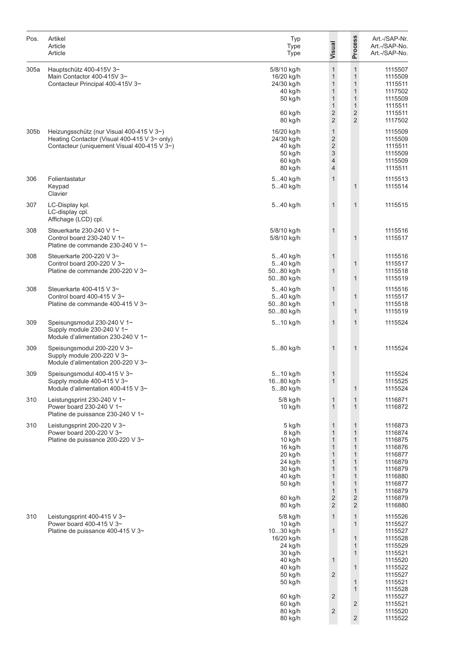| Pos. | Artikel<br>Article<br>Article                                                                                                           | Typ<br><b>Type</b><br><b>Type</b>                                                                                                                            | Visual                                                                                                                                                                                           | Process                                                                                                                                                                                  | Art.-/SAP-Nr.<br>Art.-/SAP-No.<br>Art.-/SAP-No.                                                                                                                   |
|------|-----------------------------------------------------------------------------------------------------------------------------------------|--------------------------------------------------------------------------------------------------------------------------------------------------------------|--------------------------------------------------------------------------------------------------------------------------------------------------------------------------------------------------|------------------------------------------------------------------------------------------------------------------------------------------------------------------------------------------|-------------------------------------------------------------------------------------------------------------------------------------------------------------------|
| 305a | Hauptschütz 400-415V 3~<br>Main Contactor 400-415V 3~<br>Contacteur Principal 400-415V 3~                                               | 5/8/10 kg/h<br>16/20 kg/h<br>24/30 kg/h<br>40 kg/h<br>50 kg/h<br>60 kg/h<br>80 kg/h                                                                          | $\mathbf{1}$<br>$\mathbf{1}$<br>1<br>$\mathbf{1}$<br>$\mathbf{1}$<br>$\mathbf{1}$<br>$\mathbf 2$<br>$\overline{c}$                                                                               | $\mathbf{1}$<br>$\mathbf{1}$<br>$\mathbf{1}$<br>$\mathbf{1}$<br>$\mathbf{1}$<br>$\mathbf{1}$<br>$\overline{c}$<br>$\overline{2}$                                                         | 1115507<br>1115509<br>1115511<br>1117502<br>1115509<br>1115511<br>1115511<br>1117502                                                                              |
| 305b | Heizungsschütz (nur Visual 400-415 V 3~)<br>Heating Contactor (Visual 400-415 V 3~ only)<br>Contacteur (uniquement Visual 400-415 V 3~) | 16/20 kg/h<br>24/30 kg/h<br>40 kg/h<br>50 kg/h<br>60 kg/h<br>80 kg/h                                                                                         | $\mathbf{1}$<br>$\overline{\mathbf{c}}$<br>$\overline{c}$<br>$\mathfrak{S}$<br>$\overline{4}$<br>$\overline{4}$                                                                                  |                                                                                                                                                                                          | 1115509<br>1115509<br>1115511<br>1115509<br>1115509<br>1115511                                                                                                    |
| 306  | Folientastatur<br>Keypad<br>Clavier                                                                                                     | 540 kg/h<br>540 kg/h                                                                                                                                         | $\mathbf{1}$                                                                                                                                                                                     | 1                                                                                                                                                                                        | 1115513<br>1115514                                                                                                                                                |
| 307  | LC-Display kpl.<br>LC-display cpl.<br>Affichage (LCD) cpl.                                                                              | 540 kg/h                                                                                                                                                     | 1                                                                                                                                                                                                | $\mathbf{1}$                                                                                                                                                                             | 1115515                                                                                                                                                           |
| 308  | Steuerkarte 230-240 V 1~<br>Control board 230-240 V 1~<br>Platine de commande 230-240 V 1~                                              | 5/8/10 kg/h<br>5/8/10 kg/h                                                                                                                                   | 1                                                                                                                                                                                                | 1                                                                                                                                                                                        | 1115516<br>1115517                                                                                                                                                |
| 308  | Steuerkarte 200-220 V 3~<br>Control board 200-220 V 3~<br>Platine de commande 200-220 V 3~                                              | 540 kg/h<br>540 kg/h<br>5080 kg/h<br>5080 kg/h                                                                                                               | $\mathbf{1}$<br>1                                                                                                                                                                                | $\mathbf{1}$<br>$\mathbf{1}$                                                                                                                                                             | 1115516<br>1115517<br>1115518<br>1115519                                                                                                                          |
| 308  | Steuerkarte 400-415 V $3\sim$<br>Control board 400-415 V 3~<br>Platine de commande 400-415 V 3~                                         | 540 kg/h<br>540 kg/h<br>5080 kg/h<br>5080 kg/h                                                                                                               | 1<br>$\mathbf{1}$                                                                                                                                                                                | $\mathbf{1}$<br>$\mathbf{1}$                                                                                                                                                             | 1115516<br>1115517<br>1115518<br>1115519                                                                                                                          |
| 309  | Speisungsmodul 230-240 V 1~<br>Supply module 230-240 V 1~<br>Module d'alimentation 230-240 V 1~                                         | 510 kg/h                                                                                                                                                     | 1                                                                                                                                                                                                | $\mathbf{1}$                                                                                                                                                                             | 1115524                                                                                                                                                           |
| 309  | Speisungsmodul 200-220 V $3\sim$<br>Supply module 200-220 V 3~<br>Module d'alimentation 200-220 V 3~                                    | 580 kg/h                                                                                                                                                     | 1                                                                                                                                                                                                | $\mathbf{1}$                                                                                                                                                                             | 1115524                                                                                                                                                           |
| 309  | Speisungsmodul 400-415 V 3~<br>Supply module 400-415 V $32$<br>Module d'alimentation 400-415 V 3~                                       | 510 kg/h<br>1680 kg/h<br>580 kg/h                                                                                                                            | 1<br>1                                                                                                                                                                                           | $\mathbf{1}$                                                                                                                                                                             | 1115524<br>1115525<br>1115524                                                                                                                                     |
| 310  | Leistungsprint 230-240 V 1~<br>Power board 230-240 V 1~<br>Platine de puissance 230-240 V 1~                                            | 5/8 kg/h<br>10 kg/h                                                                                                                                          | 1<br>$\mathbf{1}$                                                                                                                                                                                | $\mathbf{1}$<br>$\mathbf{1}$                                                                                                                                                             | 1116871<br>1116872                                                                                                                                                |
| 310  | Leistungsprint 200-220 V $3\sim$<br>Power board 200-220 V 3~<br>Platine de puissance 200-220 V 3~                                       | 5 kg/h<br>8 kg/h<br>10 kg/h<br>16 kg/h<br>20 kg/h<br>24 kg/h<br>30 kg/h<br>40 kg/h<br>50 kg/h<br>60 kg/h<br>80 kg/h                                          | $\mathbf{1}$<br>$\mathbf{1}$<br>$\mathbf{1}$<br>$\mathbf{1}$<br>$\mathbf{1}$<br>$\mathbf{1}$<br>$\mathbf{1}$<br>$\mathbf{1}$<br>$\mathbf{1}$<br>$\mathbf{1}$<br>$\overline{c}$<br>$\overline{c}$ | $\mathbf{1}$<br>$\mathbf{1}$<br>$\mathbf{1}$<br>$\mathbf{1}$<br>$\mathbf{1}$<br>$\mathbf{1}$<br>$\mathbf{1}$<br>$\mathbf{1}$<br>$\mathbf{1}$<br>$\mathbf{1}$<br>$\sqrt{2}$<br>$\sqrt{2}$ | 1116873<br>1116874<br>1116875<br>1116876<br>1116877<br>1116879<br>1116879<br>1116880<br>1116877<br>1116879<br>1116879<br>1116880                                  |
| 310  | Leistungsprint 400-415 V $3\sim$<br>Power board 400-415 V 3~<br>Platine de puissance 400-415 V 3~                                       | 5/8 kg/h<br>10 kg/h<br>1030 kg/h<br>16/20 kg/h<br>24 kg/h<br>30 kg/h<br>40 kg/h<br>40 kg/h<br>50 kg/h<br>50 kg/h<br>60 kg/h<br>60 kg/h<br>80 kg/h<br>80 kg/h | $\mathbf{1}$<br>$\mathbf{1}$<br>$\mathbf{1}$<br>$\overline{c}$<br>$\overline{c}$<br>$\overline{c}$                                                                                               | $\mathbf{1}$<br>$\mathbf{1}$<br>$\mathbf{1}$<br>$\mathbf{1}$<br>$\mathbf{1}$<br>$\mathbf{1}$<br>$\mathbf{1}$<br>$\mathbf{1}$<br>$\overline{c}$<br>$\overline{2}$                         | 1115526<br>1115527<br>1115527<br>1115528<br>1115529<br>1115521<br>1115520<br>1115522<br>1115527<br>1115521<br>1115528<br>1115527<br>1115521<br>1115520<br>1115522 |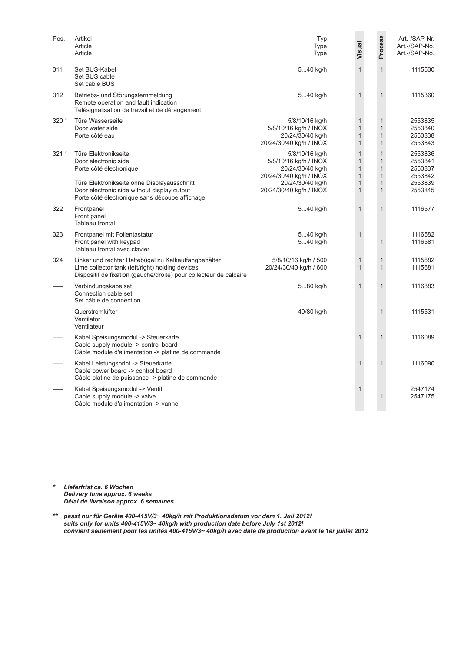| Pos.    | Artikel<br>Article<br>Article                                                                                                                                                                                           | Typ<br><b>Type</b><br>Type                                                                                                            | Visual                                                                            | Process                                                                                      | Art.-/SAP-Nr.<br>Art.-/SAP-No.<br>Art.-/SAP-No.                |
|---------|-------------------------------------------------------------------------------------------------------------------------------------------------------------------------------------------------------------------------|---------------------------------------------------------------------------------------------------------------------------------------|-----------------------------------------------------------------------------------|----------------------------------------------------------------------------------------------|----------------------------------------------------------------|
| 311     | Set BUS-Kabel<br>Set BUS cable<br>Set câble BUS                                                                                                                                                                         | 540 kg/h                                                                                                                              | $\mathbf{1}$                                                                      | $\mathbf{1}$                                                                                 | 1115530                                                        |
| 312     | Betriebs- und Störungsfernmeldung<br>Remote operation and fault indication<br>Télésignalisation de travail et de dérangement                                                                                            | 540 kg/h                                                                                                                              | $\mathbf{1}$                                                                      | $\mathbf{1}$                                                                                 | 1115360                                                        |
| $320*$  | Türe Wasserseite<br>Door water side<br>Porte côté eau                                                                                                                                                                   | 5/8/10/16 kg/h<br>5/8/10/16 kg/h / INOX<br>20/24/30/40 kg/h<br>20/24/30/40 kg/h / INOX                                                | 1<br>1<br>1<br>1                                                                  | $\mathbf{1}$<br>$\mathbf{1}$<br>$\mathbf{1}$<br>$\mathbf{1}$                                 | 2553835<br>2553840<br>2553838<br>2553843                       |
| $321 *$ | Türe Elektronikseite<br>Door electronic side<br>Porte côté électronique<br>Türe Elektronikseite ohne Displayausschnitt<br>Door electronic side without display cutout<br>Porte côté électronique sans découpe affichage | 5/8/10/16 kg/h<br>5/8/10/16 kg/h / INOX<br>20/24/30/40 kg/h<br>20/24/30/40 kg/h / INOX<br>20/24/30/40 kg/h<br>20/24/30/40 kg/h / INOX | 1<br>$\mathbf{1}$<br>$\mathbf{1}$<br>$\mathbf{1}$<br>$\mathbf{1}$<br>$\mathbf{1}$ | $\mathbf{1}$<br>$\mathbf{1}$<br>$\mathbf{1}$<br>$\mathbf{1}$<br>$\mathbf{1}$<br>$\mathbf{1}$ | 2553836<br>2553841<br>2553837<br>2553842<br>2553839<br>2553845 |
| 322     | Frontpanel<br>Front panel<br>Tableau frontal                                                                                                                                                                            | 540 kg/h                                                                                                                              | $\mathbf{1}$                                                                      | $\mathbf{1}$                                                                                 | 1116577                                                        |
| 323     | Frontpanel mit Folientastatur<br>Front panel with keypad<br>Tableau frontal avec clavier                                                                                                                                | 540 kg/h<br>540 kg/h                                                                                                                  | $\mathbf{1}$                                                                      | $\mathbf{1}$                                                                                 | 1116582<br>1116581                                             |
| 324     | Linker und rechter Haltebügel zu Kalkauffangbehälter<br>Lime collector tank (left/right) holding devices<br>Dispositif de fixation (gauche/droite) pour collecteur de calcaire                                          | 5/8/10/16 kg/h / 500<br>20/24/30/40 kg/h / 600                                                                                        | 1<br>$\mathbf{1}$                                                                 | $\mathbf{1}$<br>$\mathbf{1}$                                                                 | 1115682<br>1115681                                             |
|         | Verbindungskabelset<br>Connection cable set<br>Set câble de connection                                                                                                                                                  | 580 kg/h                                                                                                                              | $\mathbf{1}$                                                                      | $\mathbf{1}$                                                                                 | 1116883                                                        |
|         | Querstromlüfter<br>Ventilator<br>Ventilateur                                                                                                                                                                            | 40/80 kg/h                                                                                                                            |                                                                                   | 1                                                                                            | 1115531                                                        |
|         | Kabel Speisungsmodul -> Steuerkarte<br>Cable supply module -> control board<br>Câble module d'alimentation -> platine de commande                                                                                       |                                                                                                                                       | 1                                                                                 | $\mathbf{1}$                                                                                 | 1116089                                                        |
|         | Kabel Leistungsprint -> Steuerkarte<br>Cable power board -> control board<br>Câble platine de puissance -> platine de commande                                                                                          |                                                                                                                                       | $\mathbf{1}$                                                                      | $\mathbf{1}$                                                                                 | 1116090                                                        |
|         | Kabel Speisungsmodul -> Ventil<br>Cable supply module -> valve<br>Câble module d'alimentation -> vanne                                                                                                                  |                                                                                                                                       | $\mathbf{1}$                                                                      | 1                                                                                            | 2547174<br>2547175                                             |

*\* Lieferfrist ca. 6 Wochen Delivery time approx. 6 weeks Délai de livraison approx. 6 semaines*

*\*\* passt nur für Geräte 400-415V/3~ 40kg/h mit Produktionsdatum vor dem 1. Juli 2012! suits only for units 400-415V/3~ 40kg/h with production date before July 1st 2012! convient seulement pour les unités 400-415V/3~ 40kg/h avec date de production avant le 1er juillet 2012*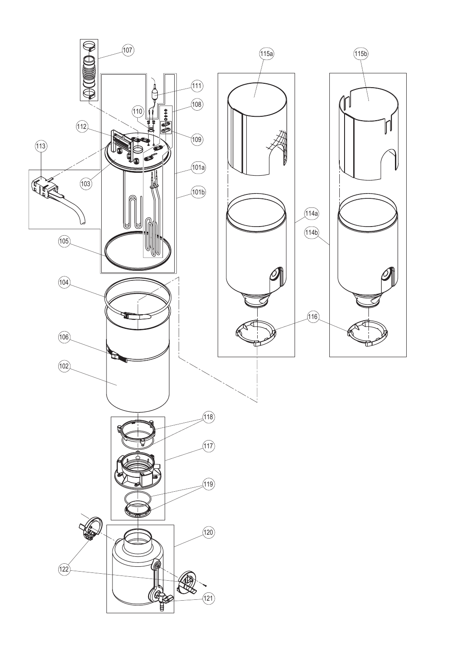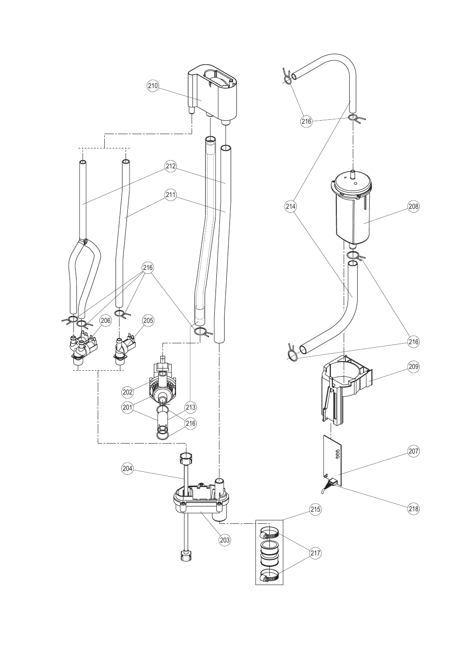